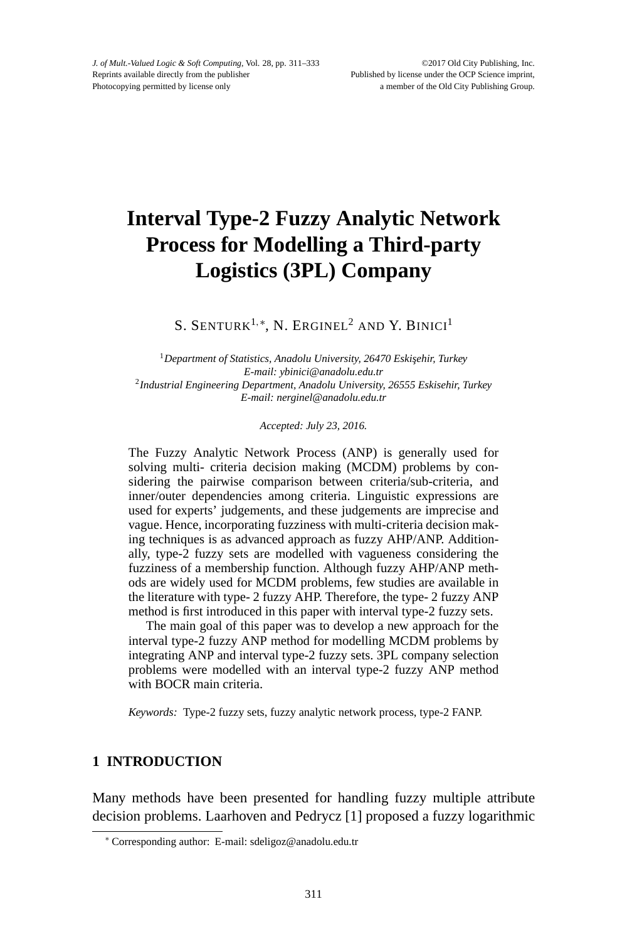# **Interval Type-2 Fuzzy Analytic Network Process for Modelling a Third-party Logistics (3PL) Company**

S. SENTURK<sup>1,\*</sup>, N. ERGINEL<sup>2</sup> AND Y. BINICI<sup>1</sup>

<sup>1</sup>Department of Statistics, Anadolu University, 26470 Eskişehir, Turkey *E-mail: ybinici@anadolu.edu.tr* <sup>2</sup>*Industrial Engineering Department, Anadolu University, 26555 Eskisehir, Turkey E-mail: nerginel@anadolu.edu.tr*

*Accepted: July 23, 2016.*

The Fuzzy Analytic Network Process (ANP) is generally used for solving multi- criteria decision making (MCDM) problems by considering the pairwise comparison between criteria/sub-criteria, and inner/outer dependencies among criteria. Linguistic expressions are used for experts' judgements, and these judgements are imprecise and vague. Hence, incorporating fuzziness with multi-criteria decision making techniques is as advanced approach as fuzzy AHP/ANP. Additionally, type-2 fuzzy sets are modelled with vagueness considering the fuzziness of a membership function. Although fuzzy AHP/ANP methods are widely used for MCDM problems, few studies are available in the literature with type- 2 fuzzy AHP. Therefore, the type- 2 fuzzy ANP method is first introduced in this paper with interval type-2 fuzzy sets.

The main goal of this paper was to develop a new approach for the interval type-2 fuzzy ANP method for modelling MCDM problems by integrating ANP and interval type-2 fuzzy sets. 3PL company selection problems were modelled with an interval type-2 fuzzy ANP method with BOCR main criteria.

*Keywords:* Type-2 fuzzy sets, fuzzy analytic network process, type-2 FANP.

# **1 INTRODUCTION**

Many methods have been presented for handling fuzzy multiple attribute decision problems. Laarhoven and Pedrycz [1] proposed a fuzzy logarithmic

<sup>∗</sup> Corresponding author: E-mail: sdeligoz@anadolu.edu.tr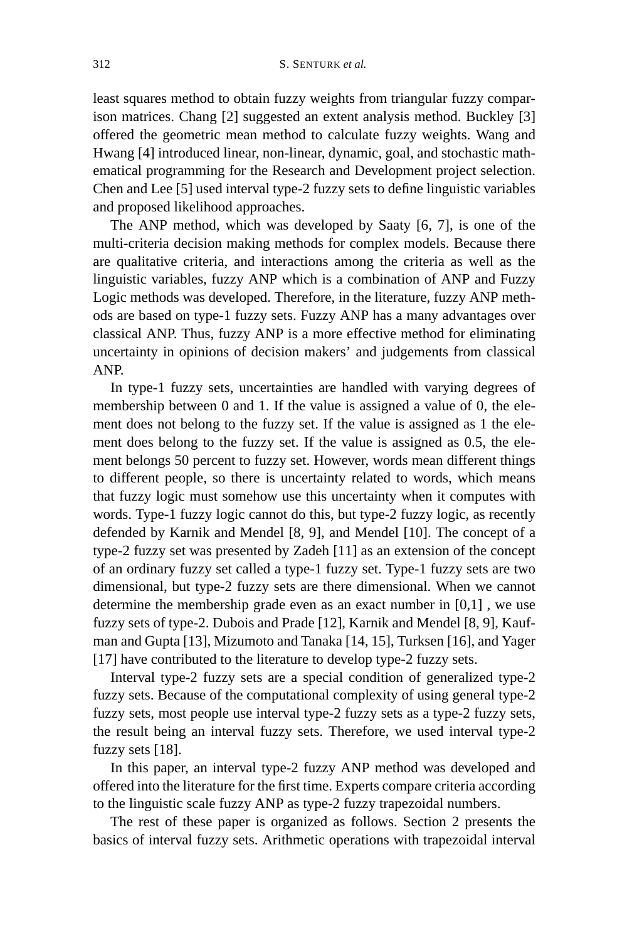least squares method to obtain fuzzy weights from triangular fuzzy comparison matrices. Chang [2] suggested an extent analysis method. Buckley [3] offered the geometric mean method to calculate fuzzy weights. Wang and Hwang [4] introduced linear, non-linear, dynamic, goal, and stochastic mathematical programming for the Research and Development project selection. Chen and Lee [5] used interval type-2 fuzzy sets to define linguistic variables and proposed likelihood approaches.

The ANP method, which was developed by Saaty [6, 7], is one of the multi-criteria decision making methods for complex models. Because there are qualitative criteria, and interactions among the criteria as well as the linguistic variables, fuzzy ANP which is a combination of ANP and Fuzzy Logic methods was developed. Therefore, in the literature, fuzzy ANP methods are based on type-1 fuzzy sets. Fuzzy ANP has a many advantages over classical ANP. Thus, fuzzy ANP is a more effective method for eliminating uncertainty in opinions of decision makers' and judgements from classical ANP.

In type-1 fuzzy sets, uncertainties are handled with varying degrees of membership between 0 and 1. If the value is assigned a value of 0, the element does not belong to the fuzzy set. If the value is assigned as 1 the element does belong to the fuzzy set. If the value is assigned as 0.5, the element belongs 50 percent to fuzzy set. However, words mean different things to different people, so there is uncertainty related to words, which means that fuzzy logic must somehow use this uncertainty when it computes with words. Type-1 fuzzy logic cannot do this, but type-2 fuzzy logic, as recently defended by Karnik and Mendel [8, 9], and Mendel [10]. The concept of a type-2 fuzzy set was presented by Zadeh [11] as an extension of the concept of an ordinary fuzzy set called a type-1 fuzzy set. Type-1 fuzzy sets are two dimensional, but type-2 fuzzy sets are there dimensional. When we cannot determine the membership grade even as an exact number in [0,1] , we use fuzzy sets of type-2. Dubois and Prade [12], Karnik and Mendel [8, 9], Kaufman and Gupta [13], Mizumoto and Tanaka [14, 15], Turksen [16], and Yager [17] have contributed to the literature to develop type-2 fuzzy sets.

Interval type-2 fuzzy sets are a special condition of generalized type-2 fuzzy sets. Because of the computational complexity of using general type-2 fuzzy sets, most people use interval type-2 fuzzy sets as a type-2 fuzzy sets, the result being an interval fuzzy sets. Therefore, we used interval type-2 fuzzy sets [18].

In this paper, an interval type-2 fuzzy ANP method was developed and offered into the literature for the first time. Experts compare criteria according to the linguistic scale fuzzy ANP as type-2 fuzzy trapezoidal numbers.

The rest of these paper is organized as follows. Section 2 presents the basics of interval fuzzy sets. Arithmetic operations with trapezoidal interval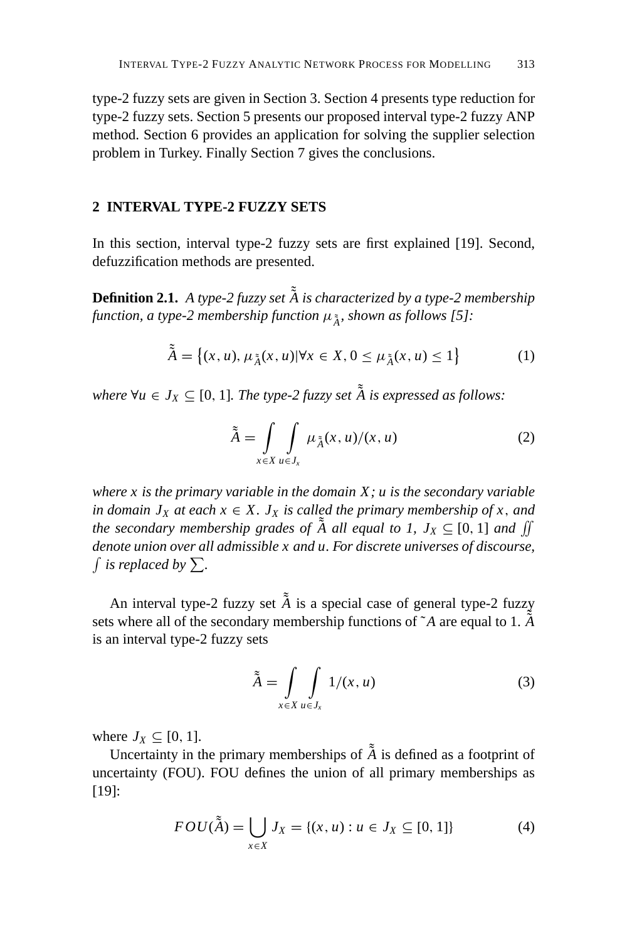type-2 fuzzy sets are given in Section 3. Section 4 presents type reduction for type-2 fuzzy sets. Section 5 presents our proposed interval type-2 fuzzy ANP method. Section 6 provides an application for solving the supplier selection problem in Turkey. Finally Section 7 gives the conclusions.

# **2 INTERVAL TYPE-2 FUZZY SETS**

In this section, interval type-2 fuzzy sets are first explained [19]. Second, defuzzification methods are presented.

**Definition 2.1.** A type-2 fuzzy set  $\tilde{A}$  is characterized by a type-2 membership *function, a type-2 membership function* μ˜ *<sup>A</sup>*˜ *, shown as follows [5]:*

$$
\tilde{\tilde{A}} = \left\{ (x, u), \mu_{\tilde{A}}(x, u) | \forall x \in X, 0 \le \mu_{\tilde{A}}(x, u) \le 1 \right\}
$$
 (1)

where  $\forall u \in J_X \subseteq [0, 1]$ *. The type-2 fuzzy set*  $\tilde{\tilde{A}}$  *is expressed as follows:* 

$$
\tilde{\tilde{A}} = \int_{x \in X} \int_{u \in J_x} \mu_{\tilde{A}}(x, u) / (x, u)
$$
 (2)

*where x is the primary variable in the domain X; u is the secondary variable in domain*  $J_X$  *at each*  $x \in X$ .  $J_X$  *is called the primary membership of*  $x$ *, and the secondary membership grades of*  $\tilde{A}$  *all equal to 1,*  $J_X \subseteq [0, 1]$  *and*  $\iint$ *denote union over all admissible x and u. For discrete universes of discourse, f* is replaced by  $\sum$ .

An interval type-2 fuzzy set  $\tilde{A}$  is a special case of general type-2 fuzzy sets where all of the secondary membership functions of  $\tilde{A}$  are equal to 1.  $\tilde{\tilde{A}}$ is an interval type-2 fuzzy sets

$$
\tilde{\tilde{A}} = \int\limits_{x \in X} \int\limits_{u \in J_x} 1/(x, u) \tag{3}
$$

where  $J_X \subseteq [0, 1]$ .

Uncertainty in the primary memberships of  $\tilde{A}$  is defined as a footprint of uncertainty (FOU). FOU defines the union of all primary memberships as [19]:

$$
FOU(\tilde{A}) = \bigcup_{x \in X} J_X = \{(x, u) : u \in J_X \subseteq [0, 1]\}
$$
 (4)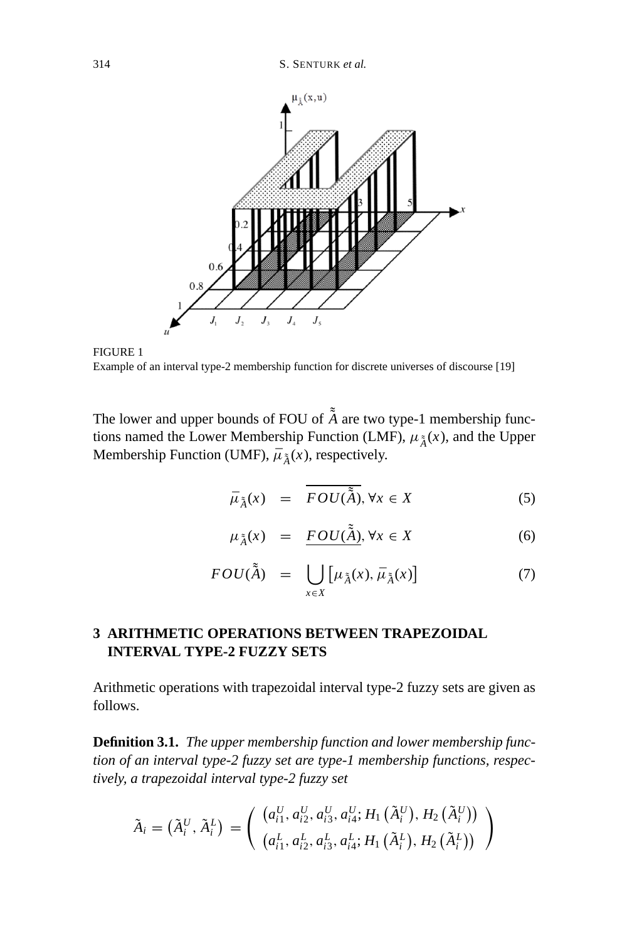

FIGURE 1 Example of an interval type-2 membership function for discrete universes of discourse [19]

The lower and upper bounds of FOU of  $\tilde{\AA}$  are two type-1 membership functions named the Lower Membership Function (LMF),  $\mu_{\tilde{A}}(x)$ , and the Upper Membership Function (UMF),  $\bar{\mu}_{\tilde{A}}(x)$ , respectively.

$$
\bar{\mu}_{\tilde{A}}(x) = \overline{FOU(\tilde{A})}, \forall x \in X \tag{5}
$$

$$
\mu_{\tilde{A}}(x) = \underline{FOU(\tilde{A})}, \forall x \in X \tag{6}
$$

$$
FOU(\tilde{\tilde{A}}) = \bigcup_{x \in X} \left[ \mu_{\tilde{A}}(x), \bar{\mu}_{\tilde{A}}(x) \right] \tag{7}
$$

# **3 ARITHMETIC OPERATIONS BETWEEN TRAPEZOIDAL INTERVAL TYPE-2 FUZZY SETS**

Arithmetic operations with trapezoidal interval type-2 fuzzy sets are given as follows.

**Definition 3.1.** *The upper membership function and lower membership function of an interval type-2 fuzzy set are type-1 membership functions, respectively, a trapezoidal interval type-2 fuzzy set*

$$
\tilde{A}_{i} = (\tilde{A}_{i}^{U}, \tilde{A}_{i}^{L}) = \left( \begin{array}{c} (a_{i1}^{U}, a_{i2}^{U}, a_{i3}^{U}, a_{i4}^{U}; H_{1}(\tilde{A}_{i}^{U}), H_{2}(\tilde{A}_{i}^{U})) \\ (a_{i1}^{L}, a_{i2}^{L}, a_{i3}^{L}, a_{i4}^{L}; H_{1}(\tilde{A}_{i}^{L}), H_{2}(\tilde{A}_{i}^{L})) \end{array} \right)
$$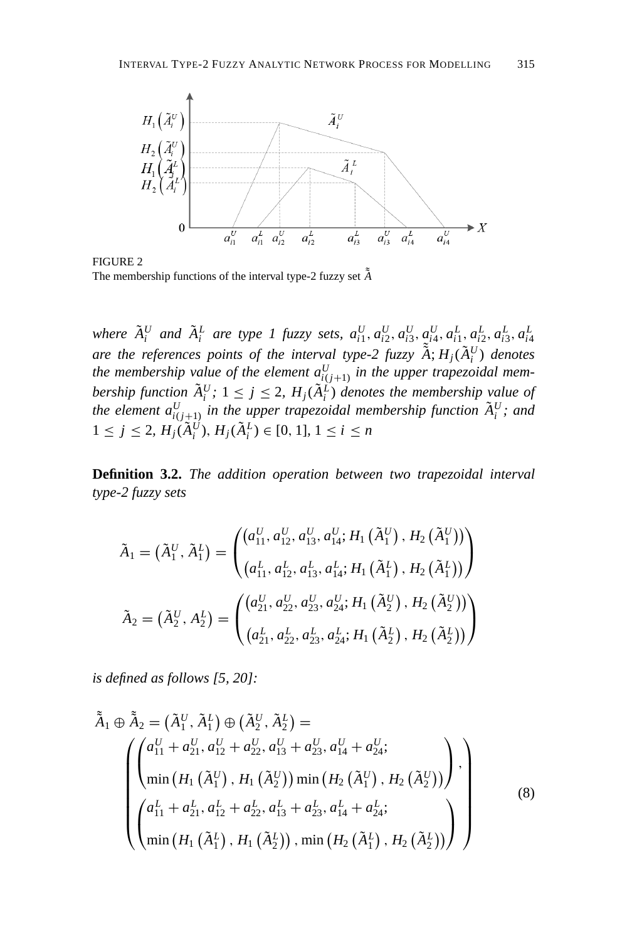

FIGURE 2 The membership functions of the interval type-2 fuzzy set  $\tilde{\tilde{A}}$ 

where  $\tilde{A}_i^U$  and  $\tilde{A}_i^L$  are type 1 fuzzy sets,  $a_{i1}^U, a_{i2}^U, a_{i3}^U, a_{i4}^U, a_{i1}^L, a_{i2}^L, a_{i3}^L, a_{i4}^L$ are the references points of the interval type-2 fuzzy  $\tilde{A}$ ;  $H_j(\tilde{A}_i^U)$  denotes *the membership value of the element*  $a_{i(j+1)}^U$  *in the upper trapezoidal membership function*  $\tilde{A}_i^U$ ;  $1 \le j \le 2$ ,  $H_j(\tilde{A}_i^L)$  *denotes the membership value of the element*  $a_{i(j+1)}^U$  *in the upper trapezoidal membership function*  $\tilde{A}_i^U$ *; and*  $1 \leq j \leq 2$ ,  $H_j(\tilde{A}_i^U), H_j(\tilde{A}_i^L) \in [0, 1]$ ,  $1 \leq i \leq n$ 

**Definition 3.2.** *The addition operation between two trapezoidal interval type-2 fuzzy sets*

$$
\tilde{A}_{1} = (\tilde{A}_{1}^{U}, \tilde{A}_{1}^{L}) = \begin{pmatrix} \left(a_{11}^{U}, a_{12}^{U}, a_{13}^{U}, a_{14}^{U}; H_{1}(\tilde{A}_{1}^{U}), H_{2}(\tilde{A}_{1}^{U})\right) \\ \left(a_{11}^{L}, a_{12}^{L}, a_{13}^{L}, a_{14}^{L}; H_{1}(\tilde{A}_{1}^{L}), H_{2}(\tilde{A}_{1}^{L})\right) \end{pmatrix}
$$
\n
$$
\tilde{A}_{2} = (\tilde{A}_{2}^{U}, A_{2}^{L}) = \begin{pmatrix} \left(a_{21}^{U}, a_{22}^{U}, a_{23}^{U}, a_{24}^{U}; H_{1}(\tilde{A}_{2}^{U}), H_{2}(\tilde{A}_{2}^{U})\right) \\ \left(a_{21}^{L}, a_{22}^{L}, a_{23}^{L}, a_{24}^{L}; H_{1}(\tilde{A}_{2}^{L}), H_{2}(\tilde{A}_{2}^{L})\right) \end{pmatrix}
$$

*is defined as follows [5, 20]:*

$$
\tilde{\tilde{A}}_1 \oplus \tilde{\tilde{A}}_2 = (\tilde{A}_1^U, \tilde{A}_1^L) \oplus (\tilde{A}_2^U, \tilde{A}_2^L) =
$$
\n
$$
\begin{pmatrix}\na_{11}^U + a_{21}^U, a_{12}^U + a_{22}^U, a_{13}^U + a_{23}^U, a_{14}^U + a_{24}^U; \\
\min (H_1 (\tilde{A}_1^U), H_1 (\tilde{A}_2^U)) \min (H_2 (\tilde{A}_1^U), H_2 (\tilde{A}_2^U))\n\end{pmatrix},
$$
\n
$$
\begin{pmatrix}\na_{11}^L + a_{21}^L, a_{12}^L + a_{22}^L, a_{13}^L + a_{23}^L, a_{14}^L + a_{24}^L; \\
\min (H_1 (\tilde{A}_1^L), H_1 (\tilde{A}_2^L)), \min (H_2 (\tilde{A}_1^L), H_2 (\tilde{A}_2^L))\n\end{pmatrix},
$$
\n(8)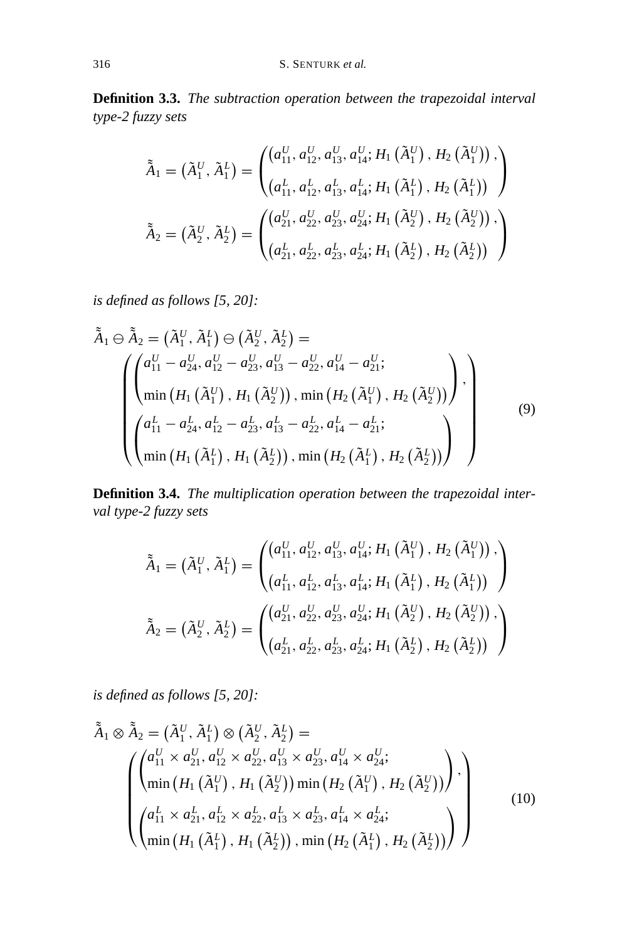**Definition 3.3.** *The subtraction operation between the trapezoidal interval type-2 fuzzy sets*

$$
\tilde{\tilde{A}}_1 = (\tilde{A}_1^U, \tilde{A}_1^L) = \begin{pmatrix} \left(a_{11}^U, a_{12}^U, a_{13}^U, a_{14}^U; H_1(\tilde{A}_1^U), H_2(\tilde{A}_1^U)\right), \\ \left(a_{11}^L, a_{12}^L, a_{13}^L, a_{14}^L; H_1(\tilde{A}_1^L), H_2(\tilde{A}_1^L)\right) \end{pmatrix}
$$

$$
\tilde{\tilde{A}}_2 = (\tilde{A}_2^U, \tilde{A}_2^L) = \begin{pmatrix} \left(a_{21}^U, a_{22}^U, a_{23}^U, a_{24}^U; H_1(\tilde{A}_2^U), H_2(\tilde{A}_2^U)\right), \\ \left(a_{21}^L, a_{22}^L, a_{23}^L, a_{24}^L; H_1(\tilde{A}_2^L), H_2(\tilde{A}_2^L)\right) \end{pmatrix}
$$

*is defined as follows [5, 20]:*

$$
\tilde{A}_{1} \ominus \tilde{A}_{2} = (\tilde{A}_{1}^{U}, \tilde{A}_{1}^{L}) \ominus (\tilde{A}_{2}^{U}, \tilde{A}_{2}^{L}) =
$$
\n
$$
\begin{pmatrix}\n a_{11}^{U} - a_{24}^{U}, a_{12}^{U} - a_{23}^{U}, a_{13}^{U} - a_{22}^{U}, a_{14}^{U} - a_{21}^{U};\n\\
 \min \left(H_{1}(\tilde{A}_{1}^{U}), H_{1}(\tilde{A}_{2}^{U})\right), \min \left(H_{2}(\tilde{A}_{1}^{U}), H_{2}(\tilde{A}_{2}^{U})\right),\n\\
 a_{11}^{L} - a_{24}^{L}, a_{12}^{L} - a_{23}^{L}, a_{13}^{L} - a_{22}^{L}, a_{14}^{L} - a_{21}^{L};\n\\
 \min \left(H_{1}(\tilde{A}_{1}^{L}), H_{1}(\tilde{A}_{2}^{L})\right), \min \left(H_{2}(\tilde{A}_{1}^{L}), H_{2}(\tilde{A}_{2}^{L})\right)\n\end{pmatrix},
$$
\n(9)

**Definition 3.4.** *The multiplication operation between the trapezoidal interval type-2 fuzzy sets*

$$
\tilde{\tilde{A}}_1 = (\tilde{A}_1^U, \tilde{A}_1^L) = \begin{pmatrix} \left(a_{11}^U, a_{12}^U, a_{13}^U, a_{14}^U; H_1(\tilde{A}_1^U), H_2(\tilde{A}_1^U)\right), \\ \left(a_{11}^L, a_{12}^L, a_{13}^L, a_{14}^L; H_1(\tilde{A}_1^L), H_2(\tilde{A}_1^L)\right) \end{pmatrix}
$$

$$
\tilde{\tilde{A}}_2 = (\tilde{A}_2^U, \tilde{A}_2^L) = \begin{pmatrix} \left(a_{21}^U, a_{22}^U, a_{23}^U, a_{24}^U; H_1(\tilde{A}_2^U), H_2(\tilde{A}_2^U)\right), \\ \left(a_{21}^L, a_{22}^L, a_{23}^L, a_{24}^L; H_1(\tilde{A}_2^L), H_2(\tilde{A}_2^L)\right) \end{pmatrix}
$$

*is defined as follows [5, 20]:*

$$
\tilde{A}_{1} \otimes \tilde{A}_{2} = (\tilde{A}_{1}^{U}, \tilde{A}_{1}^{L}) \otimes (\tilde{A}_{2}^{U}, \tilde{A}_{2}^{L}) =
$$
\n
$$
\begin{pmatrix}\n(a_{11}^{U} \times a_{21}^{U}, a_{12}^{U} \times a_{22}^{U}, a_{13}^{U} \times a_{23}^{U}, a_{14}^{U} \times a_{24}^{U};\n\\
\min (H_{1}(\tilde{A}_{1}^{U}), H_{1}(\tilde{A}_{2}^{U})) \min (H_{2}(\tilde{A}_{1}^{U}), H_{2}(\tilde{A}_{2}^{U}))\n\end{pmatrix},
$$
\n
$$
\begin{pmatrix}\na_{11}^{L} \times a_{21}^{L}, a_{12}^{L} \times a_{22}^{L}, a_{13}^{L} \times a_{23}^{L}, a_{14}^{L} \times a_{24}^{L};\n\\
\min (H_{1}(\tilde{A}_{1}^{L}), H_{1}(\tilde{A}_{2}^{L})) \min (H_{2}(\tilde{A}_{1}^{L}), H_{2}(\tilde{A}_{2}^{L}))\n\end{pmatrix}
$$
\n(10)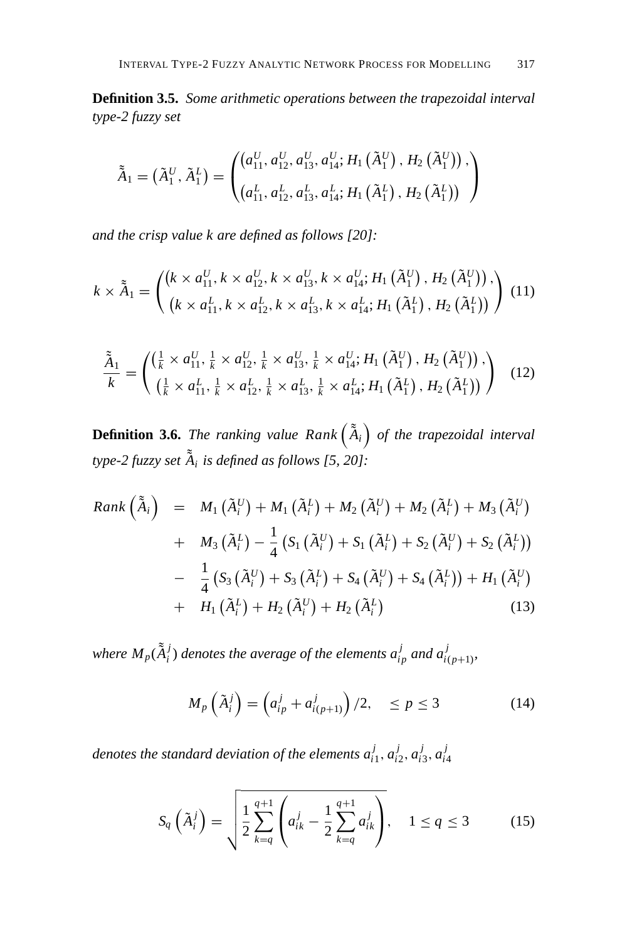**Definition 3.5.** *Some arithmetic operations between the trapezoidal interval type-2 fuzzy set*

$$
\tilde{\tilde{A}}_1 = (\tilde{A}_1^U, \tilde{A}_1^L) = \begin{pmatrix} (a_{11}^U, a_{12}^U, a_{13}^U, a_{14}^U; H_1(\tilde{A}_1^U), H_2(\tilde{A}_1^U)), \\ (a_{11}^L, a_{12}^L, a_{13}^L, a_{14}^L; H_1(\tilde{A}_1^L), H_2(\tilde{A}_1^L)) \end{pmatrix}
$$

*and the crisp value k are defined as follows [20]:*

$$
k \times \tilde{A}_1 = \begin{pmatrix} (k \times a_{11}^U, k \times a_{12}^U, k \times a_{13}^U, k \times a_{14}^U; H_1(\tilde{A}_1^U), H_2(\tilde{A}_1^U)), \\ (k \times a_{11}^L, k \times a_{12}^L, k \times a_{13}^L, k \times a_{14}^L; H_1(\tilde{A}_1^L), H_2(\tilde{A}_1^L)) \end{pmatrix} (11)
$$

$$
\frac{\tilde{A}_{1}}{k} = \begin{pmatrix}\n\left(\frac{1}{k} \times a_{11}^{U}, \frac{1}{k} \times a_{12}^{U}, \frac{1}{k} \times a_{13}^{U}, \frac{1}{k} \times a_{14}^{U}; H_{1}\left(\tilde{A}_{1}^{U}\right), H_{2}\left(\tilde{A}_{1}^{U}\right)\right), \\
\left(\frac{1}{k} \times a_{11}^{L}, \frac{1}{k} \times a_{12}^{L}, \frac{1}{k} \times a_{13}^{L}, \frac{1}{k} \times a_{14}^{L}; H_{1}\left(\tilde{A}_{1}^{L}\right), H_{2}\left(\tilde{A}_{1}^{L}\right)\right)\n\end{pmatrix} (12)
$$

**Definition 3.6.** The ranking value  $Rank\left(\tilde{\tilde{A}}_i\right)$  of the trapezoidal interval *type-2 fuzzy set* ˜ *A*˜ *<sup>i</sup> is defined as follows [5, 20]:*

$$
Rank\left(\tilde{A}_{i}\right) = M_{1}\left(\tilde{A}_{i}^{U}\right) + M_{1}\left(\tilde{A}_{i}^{L}\right) + M_{2}\left(\tilde{A}_{i}^{U}\right) + M_{2}\left(\tilde{A}_{i}^{L}\right) + M_{3}\left(\tilde{A}_{i}^{U}\right) + M_{3}\left(\tilde{A}_{i}^{L}\right) - \frac{1}{4}\left(S_{1}\left(\tilde{A}_{i}^{U}\right) + S_{1}\left(\tilde{A}_{i}^{L}\right) + S_{2}\left(\tilde{A}_{i}^{U}\right) + S_{2}\left(\tilde{A}_{i}^{L}\right)\right) - \frac{1}{4}\left(S_{3}\left(\tilde{A}_{i}^{U}\right) + S_{3}\left(\tilde{A}_{i}^{L}\right) + S_{4}\left(\tilde{A}_{i}^{U}\right) + S_{4}\left(\tilde{A}_{i}^{L}\right)\right) + H_{1}\left(\tilde{A}_{i}^{U}\right) + H_{2}\left(\tilde{A}_{i}^{U}\right) + H_{2}\left(\tilde{A}_{i}^{U}\right) + (13)
$$

where  $M_p(\tilde{\tilde{A}}_i^j)$  denotes the average of the elements  $a_{ip}^j$  and  $a_{i(p+1)}^j$ ,

$$
M_p\left(\tilde{A}_i^j\right) = \left(a_{ip}^j + a_{i(p+1)}^j\right)/2, \quad \leq p \leq 3 \tag{14}
$$

*denotes the standard deviation of the elements*  $a_{i1}^j$ *,*  $a_{i2}^j$ *,*  $a_{i3}^j$ *,*  $a_{i4}^j$ 

$$
S_q\left(\tilde{A}_i^j\right) = \sqrt{\frac{1}{2} \sum_{k=q}^{q+1} \left(a_{ik}^j - \frac{1}{2} \sum_{k=q}^{q+1} a_{ik}^j\right)}, \quad 1 \le q \le 3
$$
 (15)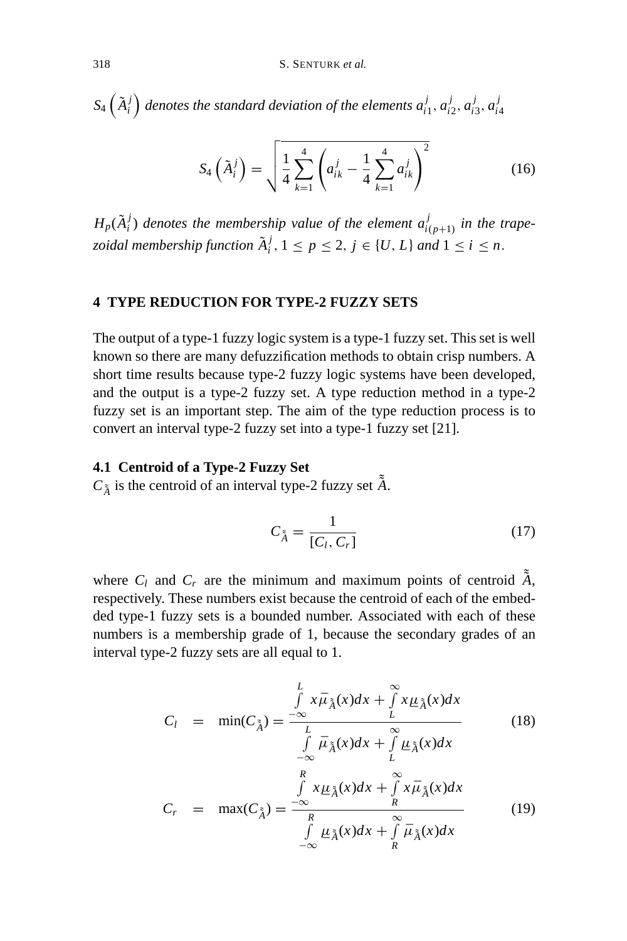$S_4\left(\tilde{A}_i^j\right)$  denotes the standard deviation of the elements  $a_{i1}^j, a_{i2}^j, a_{i3}^j, a_{i4}^j$ 

$$
S_4\left(\tilde{A}_i^j\right) = \sqrt{\frac{1}{4} \sum_{k=1}^4 \left(a_{ik}^j - \frac{1}{4} \sum_{k=1}^4 a_{ik}^j\right)^2}
$$
(16)

 $H_p(\tilde{A}_i^j)$  *denotes the membership value of the element*  $a_{i(p+1)}^j$  *in the trapezoidal membership function*  $\tilde{A}_i^j$ ,  $1 \leq p \leq 2$ ,  $j \in \{U, L\}$  and  $1 \leq i \leq n$ .

# **4 TYPE REDUCTION FOR TYPE-2 FUZZY SETS**

The output of a type-1 fuzzy logic system is a type-1 fuzzy set. This set is well known so there are many defuzzification methods to obtain crisp numbers. A short time results because type-2 fuzzy logic systems have been developed, and the output is a type-2 fuzzy set. A type reduction method in a type-2 fuzzy set is an important step. The aim of the type reduction process is to convert an interval type-2 fuzzy set into a type-1 fuzzy set [21].

# **4.1 Centroid of a Type-2 Fuzzy Set**

 $C_{\tilde{A}}$  is the centroid of an interval type-2 fuzzy set  $\tilde{A}$ .

$$
C_{\tilde{A}} = \frac{1}{[C_l, C_r]}
$$
 (17)

where  $C_l$  and  $C_r$  are the minimum and maximum points of centroid  $\tilde{A}$ , respectively. These numbers exist because the centroid of each of the embedded type-1 fuzzy sets is a bounded number. Associated with each of these numbers is a membership grade of 1, because the secondary grades of an interval type-2 fuzzy sets are all equal to 1.

$$
C_l = \min(C_{\tilde{A}}) = \frac{\int\limits_{-\infty}^{L} x \bar{\mu}_{\tilde{A}}(x) dx + \int\limits_{L}^{\infty} x \underline{\mu}_{\tilde{A}}(x) dx}{\int\limits_{-\infty}^{L} \bar{\mu}_{\tilde{A}}(x) dx + \int\limits_{L}^{\infty} \underline{\mu}_{\tilde{A}}(x) dx}
$$
(18)

$$
C_r = \max(C_{\tilde{A}}) = \frac{\int\limits_{-\infty}^{R} x \mu_{\tilde{A}}(x) dx + \int\limits_{R}^{\infty} x \bar{\mu}_{\tilde{A}}(x) dx}{\int\limits_{-\infty}^{R} \mu_{\tilde{A}}(x) dx + \int\limits_{R}^{\infty} \bar{\mu}_{\tilde{A}}(x) dx}
$$
(19)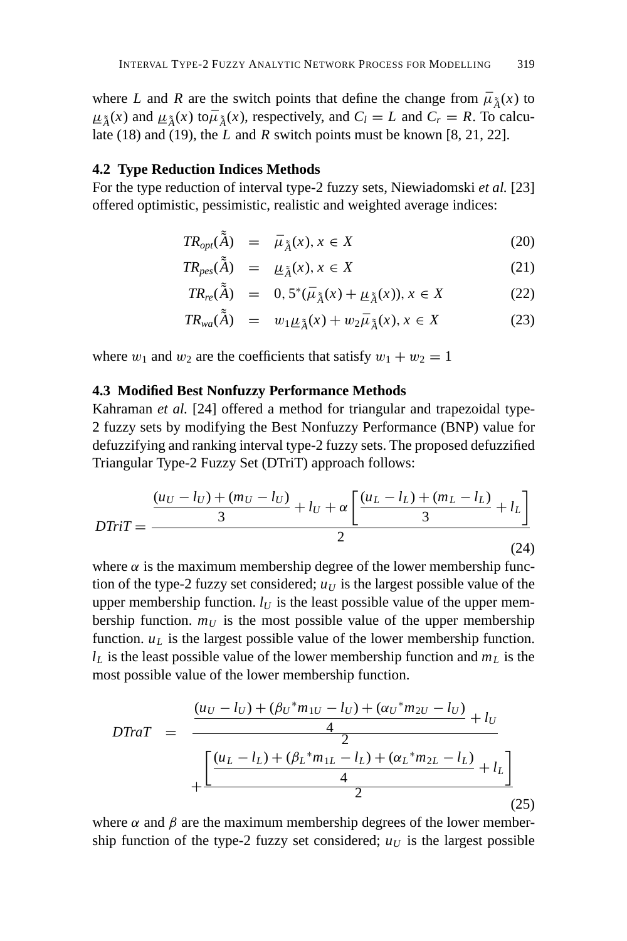where *L* and *R* are the switch points that define the change from  $\bar{\mu}_{\tilde{A}}(x)$  to Late (18) and (19), the L and R switch points must be known [8, 21, 22].  $\mu_{\tilde{A}}(x)$  and  $\mu_{\tilde{A}}(x)$  to  $\bar{\mu}_{\tilde{A}}(x)$ , respectively, and  $C_l = L$  and  $C_r = R$ . To calcu-<br>Late (18) and (19) the *L* and *R* switch points must be known [8, 21, 22]

# **4.2 Type Reduction Indices Methods**

For the type reduction of interval type-2 fuzzy sets, Niewiadomski *et al.* [23] offered optimistic, pessimistic, realistic and weighted average indices:

$$
TR_{opt}(\tilde{\tilde{A}}) = \bar{\mu}_{\tilde{\tilde{A}}}(x), x \in X \tag{20}
$$

$$
TR_{\text{pes}}(\tilde{\tilde{A}}) = \mu_{\tilde{A}}(x), x \in X \tag{21}
$$

$$
TR_{re}(\tilde{A}) = 0, 5^{*}(\bar{\mu}_{\tilde{A}}(x) + \underline{\mu}_{\tilde{A}}(x)), x \in X
$$
 (22)

$$
TR_{wa}(\tilde{\tilde{A}}) = w_1 \underline{\mu}_{\tilde{A}}(x) + w_2 \bar{\mu}_{\tilde{A}}(x), x \in X \tag{23}
$$

where  $w_1$  and  $w_2$  are the coefficients that satisfy  $w_1 + w_2 = 1$ 

# **4.3 Modified Best Nonfuzzy Performance Methods**

Kahraman *et al.* [24] offered a method for triangular and trapezoidal type-2 fuzzy sets by modifying the Best Nonfuzzy Performance (BNP) value for defuzzifying and ranking interval type-2 fuzzy sets. The proposed defuzzified Triangular Type-2 Fuzzy Set (DTriT) approach follows:

$$
DTriT = \frac{\frac{(u_U - l_U) + (m_U - l_U)}{3} + l_U + \alpha \left[ \frac{(u_L - l_L) + (m_L - l_L)}{3} + l_L \right]}{2}
$$
\n(24)

where  $\alpha$  is the maximum membership degree of the lower membership function of the type-2 fuzzy set considered;  $u_U$  is the largest possible value of the upper membership function.  $l_U$  is the least possible value of the upper membership function.  $m_U$  is the most possible value of the upper membership function.  $u<sub>L</sub>$  is the largest possible value of the lower membership function.  $l_L$  is the least possible value of the lower membership function and  $m_L$  is the most possible value of the lower membership function.

$$
DTraT = \frac{\frac{(u_U - l_U) + (\beta_U * m_{1U} - l_U) + (\alpha_U * m_{2U} - l_U)}{4} + l_U}{\frac{\left[\frac{(u_L - l_L) + (\beta_L * m_{1L} - l_L) + (\alpha_L * m_{2L} - l_L)}{4} + l_L\right]}{2}}
$$
\n(25)

where  $\alpha$  and  $\beta$  are the maximum membership degrees of the lower membership function of the type-2 fuzzy set considered;  $u_U$  is the largest possible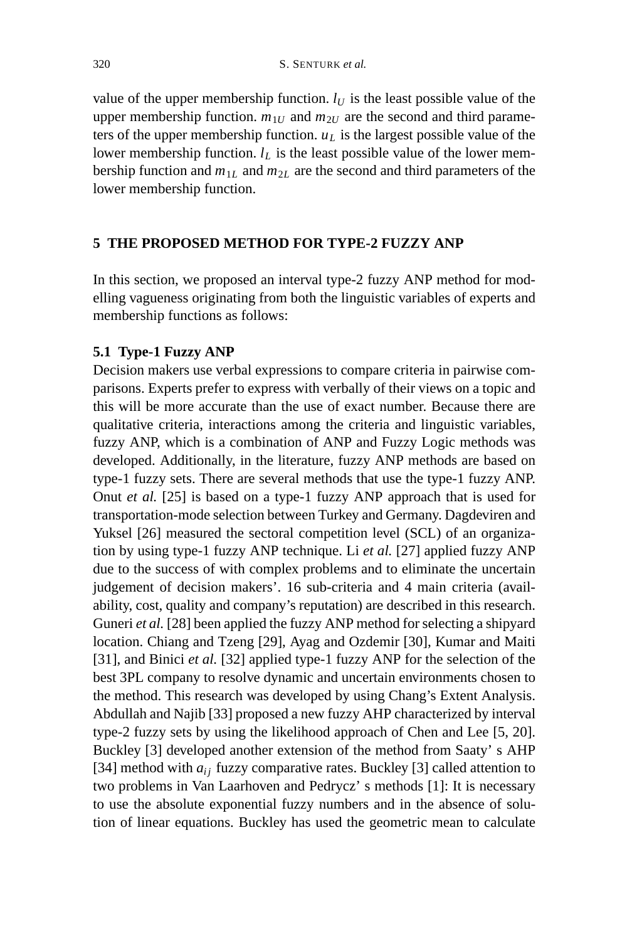value of the upper membership function.  $l_U$  is the least possible value of the upper membership function.  $m_{1U}$  and  $m_{2U}$  are the second and third parameters of the upper membership function.  $u<sub>L</sub>$  is the largest possible value of the lower membership function.  $l_L$  is the least possible value of the lower membership function and  $m_{1L}$  and  $m_{2L}$  are the second and third parameters of the lower membership function.

# **5 THE PROPOSED METHOD FOR TYPE-2 FUZZY ANP**

In this section, we proposed an interval type-2 fuzzy ANP method for modelling vagueness originating from both the linguistic variables of experts and membership functions as follows:

# **5.1 Type-1 Fuzzy ANP**

Decision makers use verbal expressions to compare criteria in pairwise comparisons. Experts prefer to express with verbally of their views on a topic and this will be more accurate than the use of exact number. Because there are qualitative criteria, interactions among the criteria and linguistic variables, fuzzy ANP, which is a combination of ANP and Fuzzy Logic methods was developed. Additionally, in the literature, fuzzy ANP methods are based on type-1 fuzzy sets. There are several methods that use the type-1 fuzzy ANP. Onut *et al.* [25] is based on a type-1 fuzzy ANP approach that is used for transportation-mode selection between Turkey and Germany. Dagdeviren and Yuksel [26] measured the sectoral competition level (SCL) of an organization by using type-1 fuzzy ANP technique. Li *et al.* [27] applied fuzzy ANP due to the success of with complex problems and to eliminate the uncertain judgement of decision makers'. 16 sub-criteria and 4 main criteria (availability, cost, quality and company's reputation) are described in this research. Guneri *et al.* [28] been applied the fuzzy ANP method for selecting a shipyard location. Chiang and Tzeng [29], Ayag and Ozdemir [30], Kumar and Maiti [31], and Binici *et al.* [32] applied type-1 fuzzy ANP for the selection of the best 3PL company to resolve dynamic and uncertain environments chosen to the method. This research was developed by using Chang's Extent Analysis. Abdullah and Najib [33] proposed a new fuzzy AHP characterized by interval type-2 fuzzy sets by using the likelihood approach of Chen and Lee [5, 20]. Buckley [3] developed another extension of the method from Saaty' s AHP [34] method with  $a_{ij}$  fuzzy comparative rates. Buckley [3] called attention to two problems in Van Laarhoven and Pedrycz' s methods [1]: It is necessary to use the absolute exponential fuzzy numbers and in the absence of solution of linear equations. Buckley has used the geometric mean to calculate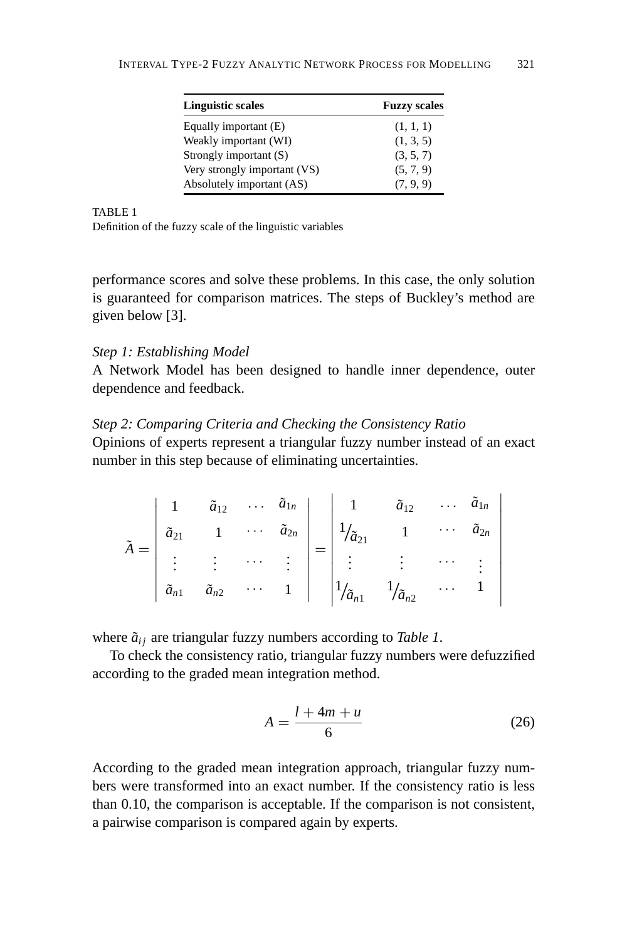| <b>Linguistic scales</b>     | <b>Fuzzy scales</b> |
|------------------------------|---------------------|
| Equally important (E)        | (1, 1, 1)           |
| Weakly important (WI)        | (1, 3, 5)           |
| Strongly important (S)       | (3, 5, 7)           |
| Very strongly important (VS) | (5, 7, 9)           |
| Absolutely important (AS)    | (7, 9, 9)           |

Definition of the fuzzy scale of the linguistic variables

performance scores and solve these problems. In this case, the only solution is guaranteed for comparison matrices. The steps of Buckley's method are given below [3].

#### *Step 1: Establishing Model*

A Network Model has been designed to handle inner dependence, outer dependence and feedback.

# *Step 2: Comparing Criteria and Checking the Consistency Ratio*

Opinions of experts represent a triangular fuzzy number instead of an exact number in this step because of eliminating uncertainties.

$$
\tilde{A} = \begin{vmatrix}\n1 & \tilde{a}_{12} & \cdots & \tilde{a}_{1n} \\
\tilde{a}_{21} & 1 & \cdots & \tilde{a}_{2n} \\
\vdots & \vdots & \cdots & \vdots \\
\tilde{a}_{n1} & \tilde{a}_{n2} & \cdots & 1\n\end{vmatrix} = \begin{vmatrix}\n1 & \tilde{a}_{12} & \cdots & \tilde{a}_{1n} \\
1/\tilde{a}_{21} & 1 & \cdots & \tilde{a}_{2n} \\
\vdots & \vdots & \cdots & \vdots \\
1/\tilde{a}_{n1} & 1/\tilde{a}_{n2} & \cdots & 1\n\end{vmatrix}
$$

where  $\tilde{a}_{ij}$  are triangular fuzzy numbers according to *Table 1*.

To check the consistency ratio, triangular fuzzy numbers were defuzzified according to the graded mean integration method.

$$
A = \frac{l + 4m + u}{6} \tag{26}
$$

According to the graded mean integration approach, triangular fuzzy numbers were transformed into an exact number. If the consistency ratio is less than 0.10, the comparison is acceptable. If the comparison is not consistent, a pairwise comparison is compared again by experts.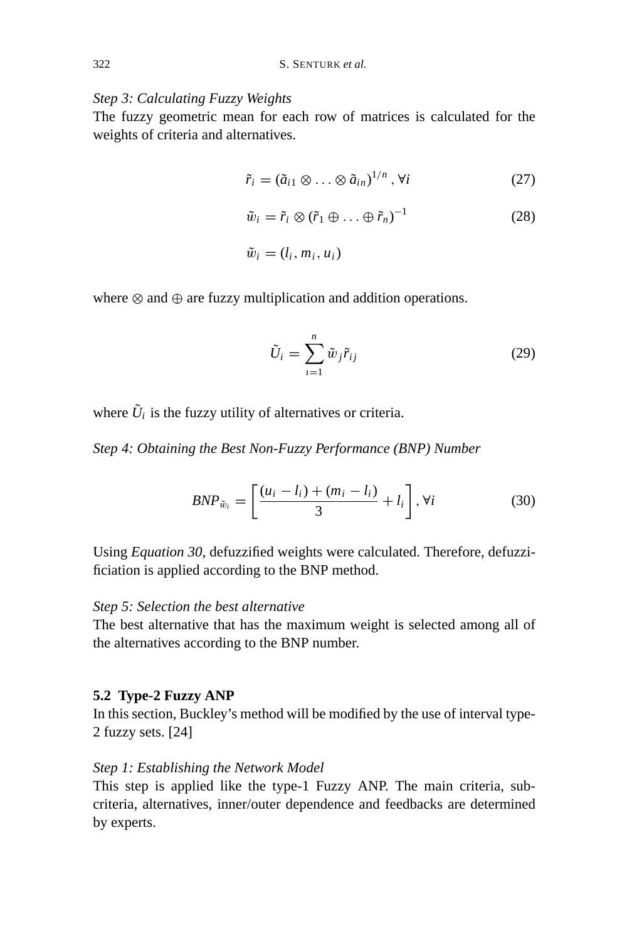# *Step 3: Calculating Fuzzy Weights*

The fuzzy geometric mean for each row of matrices is calculated for the weights of criteria and alternatives.

$$
\tilde{r}_i = (\tilde{a}_{i1} \otimes \ldots \otimes \tilde{a}_{in})^{1/n}, \forall i
$$
 (27)

$$
\tilde{w}_i = \tilde{r}_i \otimes (\tilde{r}_1 \oplus \ldots \oplus \tilde{r}_n)^{-1}
$$
\n(28)

$$
\tilde{w}_i=(l_i,m_i,u_i)
$$

where ⊗ and ⊕ are fuzzy multiplication and addition operations.

$$
\tilde{U}_i = \sum_{i=1}^n \tilde{w}_j \tilde{r}_{ij} \tag{29}
$$

where  $\tilde{U}_i$  is the fuzzy utility of alternatives or criteria.

*Step 4: Obtaining the Best Non-Fuzzy Performance (BNP) Number*

$$
BNP_{\tilde{w}_i} = \left[\frac{(u_i - l_i) + (m_i - l_i)}{3} + l_i\right], \forall i \tag{30}
$$

Using *Equation 30*, defuzzified weights were calculated. Therefore, defuzzificiation is applied according to the BNP method.

# *Step 5: Selection the best alternative*

The best alternative that has the maximum weight is selected among all of the alternatives according to the BNP number.

# **5.2 Type-2 Fuzzy ANP**

In this section, Buckley's method will be modified by the use of interval type-2 fuzzy sets. [24]

# *Step 1: Establishing the Network Model*

This step is applied like the type-1 Fuzzy ANP. The main criteria, subcriteria, alternatives, inner/outer dependence and feedbacks are determined by experts.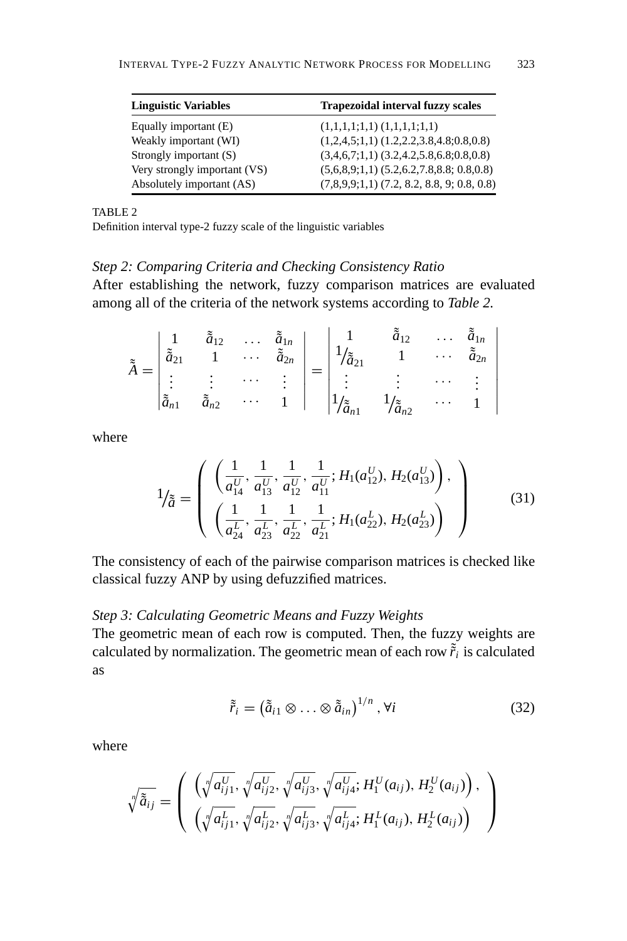| <b>Linguistic Variables</b>  | <b>Trapezoidal interval fuzzy scales</b>       |
|------------------------------|------------------------------------------------|
| Equally important (E)        | $(1,1,1,1;1,1)$ $(1,1,1,1;1,1)$                |
| Weakly important (WI)        | $(1,2,4,5;1,1)$ $(1.2,2.2,3.8,4.8;0.8,0.8)$    |
| Strongly important (S)       | $(3,4,6,7;1,1)$ $(3.2,4.2,5.8,6.8;0.8,0.8)$    |
| Very strongly important (VS) | $(5,6,8,9;1,1)$ $(5.2,6.2,7.8,8.8; 0.8,0.8)$   |
| Absolutely important (AS)    | $(7,8,9,9;1,1)$ $(7.2, 8.2, 8.8, 9; 0.8, 0.8)$ |

Definition interval type-2 fuzzy scale of the linguistic variables

# *Step 2: Comparing Criteria and Checking Consistency Ratio*

After establishing the network, fuzzy comparison matrices are evaluated among all of the criteria of the network systems according to *Table 2.*

| $\approx$ | $\tilde{\tilde{a}}_{2i}$ | $\tilde{\tilde{a}}_{12}$                               |        | $\tilde{\tilde{a}}_{1n}$<br>$\cdots \left[\begin{array}{c} \alpha_{1n} \\ \tilde{a}_{2n} \end{array}\right]$   1 <sub>1</sub> | $\frac{1}{(\tilde{a}_{21})}$    | $\tilde{a}_{12}$<br>$\blacksquare$                      | $\cdots$ | $\tilde{\tilde{a}}_{1n}$<br>$\tilde{a}$ |
|-----------|--------------------------|--------------------------------------------------------|--------|-------------------------------------------------------------------------------------------------------------------------------|---------------------------------|---------------------------------------------------------|----------|-----------------------------------------|
|           | $\cdot$<br>$\tilde{z}$   | <b>Contractor</b><br>$\cdot$<br>٠<br>$\tilde{z}$<br>n2 | $\sim$ | $\ddot{\phantom{0}}$                                                                                                          | $\pm$ $\pm$<br>$ 1/2\tilde{z} $ | ٠<br>$\ddot{\phantom{0}}$<br>$\frac{1}{\tilde{a}_{n2}}$ |          |                                         |

where

$$
1_{\tilde{a}} = \left( \begin{array}{c} \left( \frac{1}{a_{14}^U}, \frac{1}{a_{13}^U}, \frac{1}{a_{12}^U}, \frac{1}{a_{11}^U}; H_1(a_{12}^U), H_2(a_{13}^U) \right), \\ \left( \frac{1}{a_{24}^L}, \frac{1}{a_{23}^L}, \frac{1}{a_{22}^L}, \frac{1}{a_{21}^L}; H_1(a_{22}^L), H_2(a_{23}^L) \right) \end{array} \right) \tag{31}
$$

The consistency of each of the pairwise comparison matrices is checked like classical fuzzy ANP by using defuzzified matrices.

# *Step 3: Calculating Geometric Means and Fuzzy Weights*

The geometric mean of each row is computed. Then, the fuzzy weights are calculated by normalization. The geometric mean of each row  $\tilde{r}_i$  is calculated as

$$
\tilde{\tilde{r}}_i = \left(\tilde{\tilde{a}}_{i1} \otimes \ldots \otimes \tilde{\tilde{a}}_{in}\right)^{1/n}, \forall i \tag{32}
$$

where

$$
\sqrt[n]{\tilde{a}_{ij}} = \left( \begin{array}{c} \left( \sqrt[n]{a_{ij1}^U}, \sqrt[n]{a_{ij2}^U}, \sqrt[n]{a_{ij3}^U}, \sqrt[n]{a_{ij4}^U}; H_1^U(a_{ij}), H_2^U(a_{ij}) \right), \\ \left( \sqrt[n]{a_{ij1}^L}, \sqrt[n]{a_{ij2}^L}, \sqrt[n]{a_{ij3}^L}, \sqrt[n]{a_{ij4}^L}; H_1^L(a_{ij}), H_2^L(a_{ij}) \right) \end{array} \right)
$$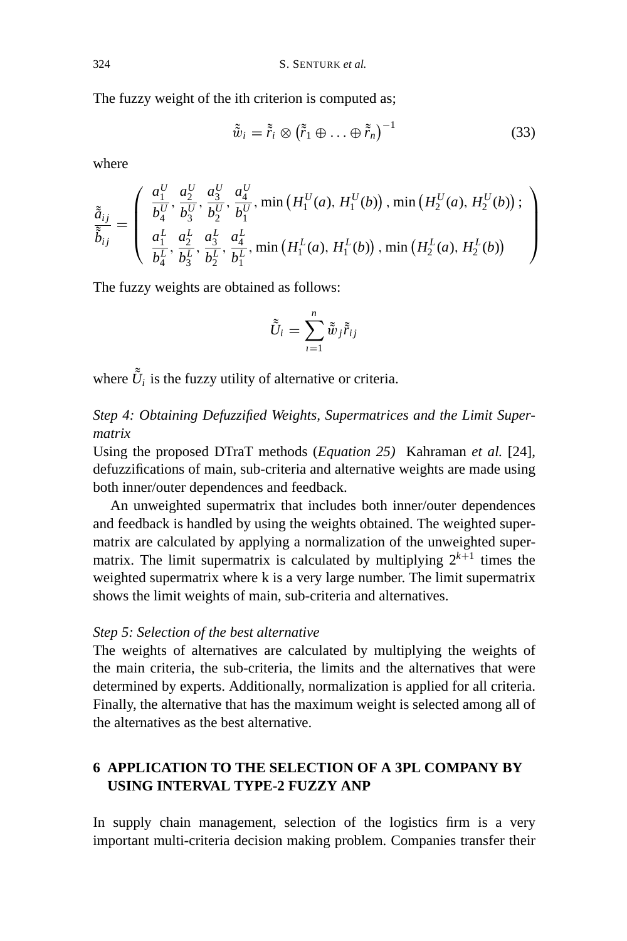The fuzzy weight of the ith criterion is computed as;

$$
\tilde{\tilde{w}}_i = \tilde{r}_i \otimes (\tilde{r}_1 \oplus \ldots \oplus \tilde{r}_n)^{-1}
$$
\n(33)

where

$$
\tilde{\tilde{a}}_{ij} = \begin{pmatrix} \frac{a_1^U}{b_4^U}, \frac{a_2^U}{b_3^U}, \frac{a_3^U}{b_2^U}, \frac{a_4^U}{b_1^U}, \min\left(H_1^U(a), H_1^U(b)\right), \min\left(H_2^U(a), H_2^U(b)\right); \\ \frac{a_1^L}{b_4^L}, \frac{a_2^L}{b_3^L}, \frac{a_4^L}{b_2^L}, \frac{a_4^L}{b_1^L}, \min\left(H_1^L(a), H_1^L(b)\right), \min\left(H_2^L(a), H_2^L(b)\right) \end{pmatrix}
$$

The fuzzy weights are obtained as follows:

$$
\tilde{\tilde{U}}_i = \sum_{i=1}^n \tilde{\tilde{w}}_j \tilde{\tilde{r}}_{ij}
$$

where  $\tilde{U}_i$  is the fuzzy utility of alternative or criteria.

*Step 4: Obtaining Defuzzified Weights, Supermatrices and the Limit Supermatrix*

Using the proposed DTraT methods (*Equation 25)* Kahraman *et al.* [24], defuzzifications of main, sub-criteria and alternative weights are made using both inner/outer dependences and feedback.

An unweighted supermatrix that includes both inner/outer dependences and feedback is handled by using the weights obtained. The weighted supermatrix are calculated by applying a normalization of the unweighted supermatrix. The limit supermatrix is calculated by multiplying  $2^{k+1}$  times the weighted supermatrix where k is a very large number. The limit supermatrix shows the limit weights of main, sub-criteria and alternatives.

# *Step 5: Selection of the best alternative*

The weights of alternatives are calculated by multiplying the weights of the main criteria, the sub-criteria, the limits and the alternatives that were determined by experts. Additionally, normalization is applied for all criteria. Finally, the alternative that has the maximum weight is selected among all of the alternatives as the best alternative.

# **6 APPLICATION TO THE SELECTION OF A 3PL COMPANY BY USING INTERVAL TYPE-2 FUZZY ANP**

In supply chain management, selection of the logistics firm is a very important multi-criteria decision making problem. Companies transfer their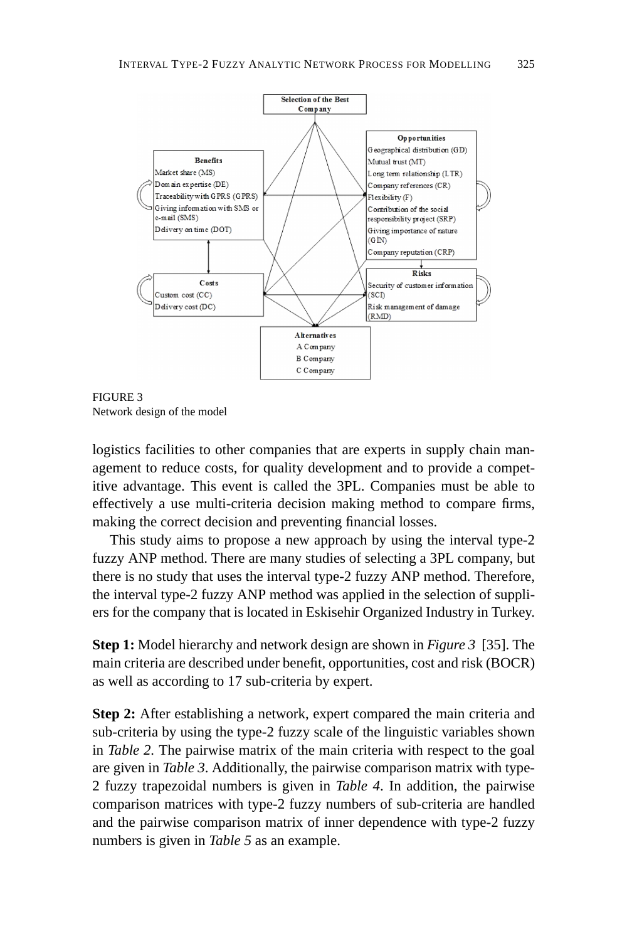

FIGURE 3 Network design of the model

logistics facilities to other companies that are experts in supply chain management to reduce costs, for quality development and to provide a competitive advantage. This event is called the 3PL. Companies must be able to effectively a use multi-criteria decision making method to compare firms, making the correct decision and preventing financial losses.

This study aims to propose a new approach by using the interval type-2 fuzzy ANP method. There are many studies of selecting a 3PL company, but there is no study that uses the interval type-2 fuzzy ANP method. Therefore, the interval type-2 fuzzy ANP method was applied in the selection of suppliers for the company that is located in Eskisehir Organized Industry in Turkey.

**Step 1:** Model hierarchy and network design are shown in *Figure 3* [35]. The main criteria are described under benefit, opportunities, cost and risk (BOCR) as well as according to 17 sub-criteria by expert.

**Step 2:** After establishing a network, expert compared the main criteria and sub-criteria by using the type-2 fuzzy scale of the linguistic variables shown in *Table 2.* The pairwise matrix of the main criteria with respect to the goal are given in *Table 3*. Additionally, the pairwise comparison matrix with type-2 fuzzy trapezoidal numbers is given in *Table 4*. In addition, the pairwise comparison matrices with type-2 fuzzy numbers of sub-criteria are handled and the pairwise comparison matrix of inner dependence with type-2 fuzzy numbers is given in *Table 5* as an example.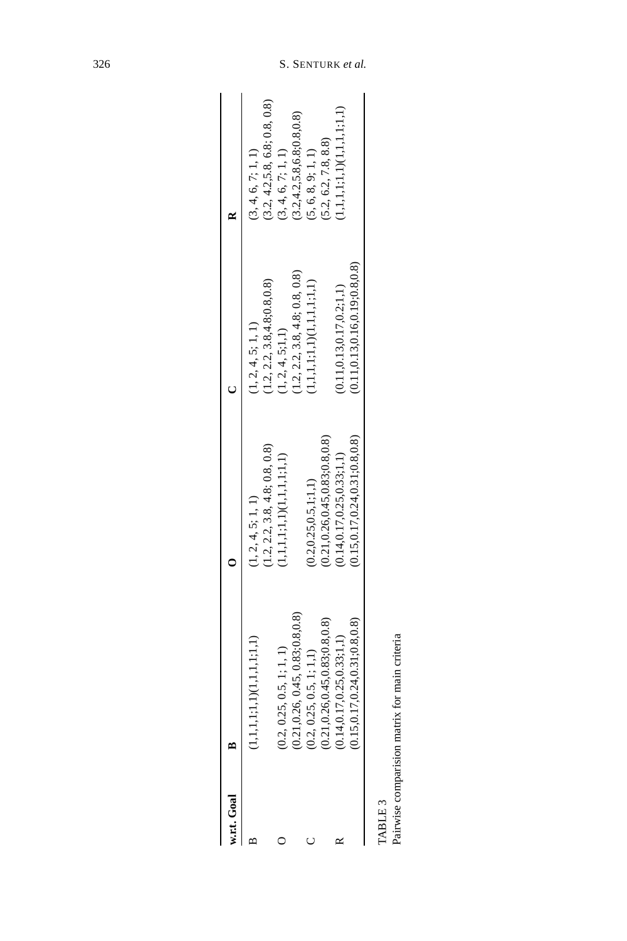| w.r.t. Goal B |                                                               |                                                                    |                                                                |                                                                    |
|---------------|---------------------------------------------------------------|--------------------------------------------------------------------|----------------------------------------------------------------|--------------------------------------------------------------------|
|               | $(1,1,1,1,1,1)$ $(1,1,1,1,1,1)$                               | 1.2, 2.2, 3.8, 4.8, 0.8, 0.8<br>(1, 2, 4, 5; 1, 1)                 | (1.2, 2.2, 3.8, 4.8, 0.8, 0.8)<br>1, 2, 4, 5; 1, 1             | (3.2, 4.2, 5.8, 6.8, 0.8, 0.8)<br>(3, 4, 6, 7; 1, 1)               |
|               | 0.2, 0.25, 0.5, 1; 1, 1)                                      | $1, 1, 1, 1; 1, 1)$ $(1, 1, 1, 1; 1, 1)$                           | 1, 2, 4, 5; 1, 1                                               | (3.2, 4.2, 5.8, 6.8, 0.8, 0.8)<br>3, 4, 6, 7; 1, 1)                |
|               | 0.21, 0.26, 0.45, 0.83; 0.8, 0.8)<br>0.2, 0.25, 0.5, 1; 1, 1) | (0.2, 0.25, 0.5, 1, 1, 1)                                          | 1.2, 2.2, 3.8, 4.8, 0.8, 0.8<br>$1,1,1,1;1,1)$ $(1,1,1,1;1,1)$ | (5, 6, 8, 9, 1, 1)                                                 |
| ≃             | 0.21,0.26,0.45,0.83;0.8,0.8)<br>0.14, 0.17, 0.25, 0.33; 1, 1  | 0.21, 0.26, 0.45, 0.83, 0.8, 0.8)<br>0.14, 0.17, 0.25, 0.33; 1, 1) | 0.11, 0.13, 0.17, 0.2, 1, 1)                                   | $1,1,1,1;1,1,1$ <sub>(1,1,1,1,1;1,1)</sub><br>(5.2, 6.2, 7.8, 8.8) |
|               | 0.15, 0.17, 0.24, 0.31, 0.8, 0.8)                             | 0.15, 0.17, 0.24, 0.31, 0.8, 0.8                                   | (0.11, 0.13, 0.16, 0.19, 0.8, 0.8)                             |                                                                    |
| <b>CEIGVL</b> |                                                               |                                                                    |                                                                |                                                                    |

| ٦ |
|---|
|   |
| ۰ |
|   |

Pairwise comparision matrix for main criteria Pairwise comparision matrix for main criteria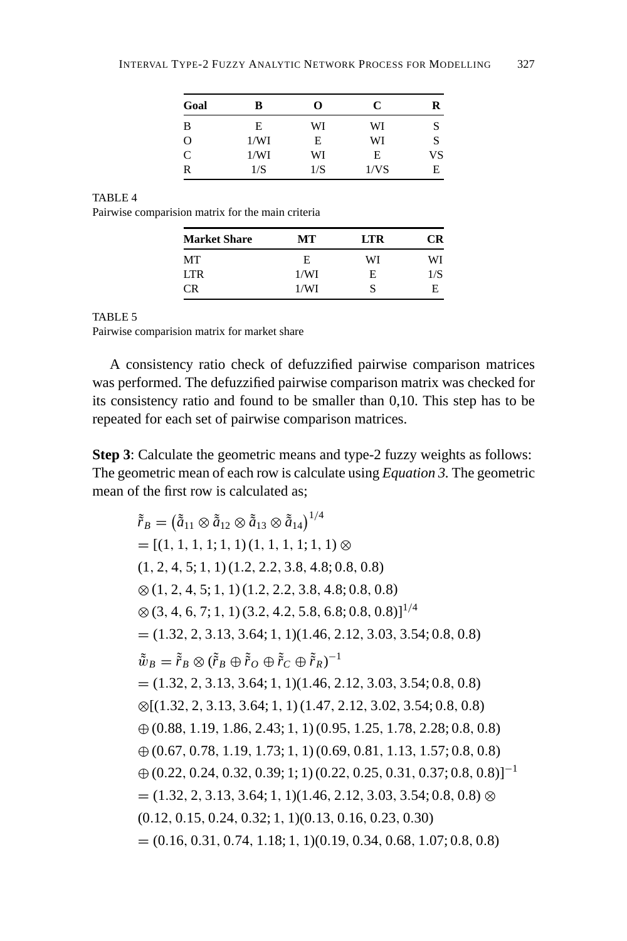| Goal         | в    | O   | C    | R  |
|--------------|------|-----|------|----|
| B            | E    | WI  | WI   |    |
| $\mathbf{O}$ | 1/WI | E   | WI   | S  |
| $\mathsf{C}$ | 1/WI | WI  | E    | VS |
| R            | 1/S  | 1/S | 1/VS | E  |

Pairwise comparision matrix for the main criteria

| <b>Market Share</b> | MТ   | <b>LTR</b> | CR  |
|---------------------|------|------------|-----|
| MТ                  | E    | WI         | WI  |
| LTR.                | 1/WI | E          | 1/S |
| CΒ                  | 1/WI | S          | E   |

#### TABLE 5

Pairwise comparision matrix for market share

A consistency ratio check of defuzzified pairwise comparison matrices was performed. The defuzzified pairwise comparison matrix was checked for its consistency ratio and found to be smaller than 0,10. This step has to be repeated for each set of pairwise comparison matrices.

**Step 3**: Calculate the geometric means and type-2 fuzzy weights as follows: The geometric mean of each row is calculate using *Equation 3.* The geometric mean of the first row is calculated as;

 $\tilde{\tilde{r}}_B = \left( \tilde{\tilde{a}}_{11} \otimes \tilde{\tilde{a}}_{12} \otimes \tilde{\tilde{a}}_{13} \otimes \tilde{\tilde{a}}_{14} \right)^{1/4}$  $=[(1, 1, 1, 1, 1, 1), (1, 1, 1, 1, 1, 1) \otimes$ (1, 2, 4, 5; 1, 1) (1.2, 2.2, 3.8, 4.8; 0.8, 0.8)  $\otimes$  (1, 2, 4, 5; 1, 1) (1, 2, 2, 2, 3, 8, 4, 8; 0, 8, 0, 8)  $\otimes$  (3, 4, 6, 7; 1, 1) (3.2, 4.2, 5.8, 6.8; 0.8, 0.8)]<sup>1/4</sup>  $= (1.32, 2, 3.13, 3.64; 1, 1)(1.46, 2.12, 3.03, 3.54; 0.8, 0.8)$  $\tilde{\tilde{w}}_B = \tilde{\tilde{r}}_B \otimes (\tilde{\tilde{r}}_B \oplus \tilde{\tilde{r}}_O \oplus \tilde{\tilde{r}}_C \oplus \tilde{\tilde{r}}_R)^{-1}$  $= (1.32, 2, 3.13, 3.64; 1, 1)(1.46, 2.12, 3.03, 3.54; 0.8, 0.8)$ ⊗[(1.32, 2, 3.13, 3.64; 1, 1) (1.47, 2.12, 3.02, 3.54; 0.8, 0.8) ⊕ (0.88, 1.19, 1.86, 2.43; 1, 1) (0.95, 1.25, 1.78, 2.28; 0.8, 0.8) ⊕ (0.67, 0.78, 1.19, 1.73; 1, 1) (0.69, 0.81, 1.13, 1.57; 0.8, 0.8)  $\oplus (0.22, 0.24, 0.32, 0.39; 1; 1)$   $(0.22, 0.25, 0.31, 0.37; 0.8, 0.8)$ ]<sup>-1</sup>  $= (1.32, 2, 3.13, 3.64; 1, 1)(1.46, 2.12, 3.03, 3.54; 0.8, 0.8)$  ⊗ (0.12, 0.15, 0.24, 0.32; 1, 1)(0.13, 0.16, 0.23, 0.30)  $= (0.16, 0.31, 0.74, 1.18; 1, 1)(0.19, 0.34, 0.68, 1.07; 0.8, 0.8)$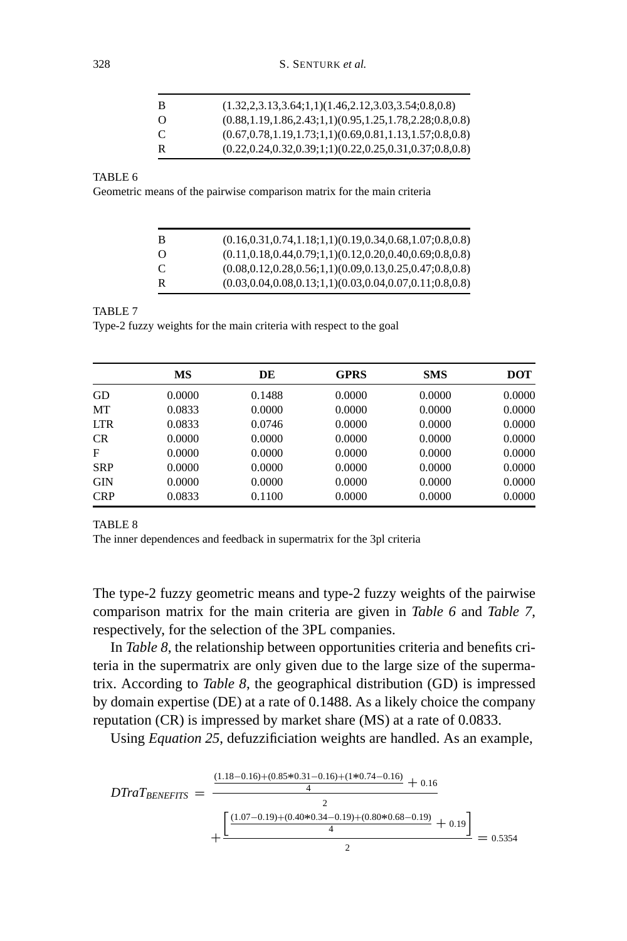| -B             | $(1.32, 2.3.13, 3.64; 1, 1)(1.46, 2.12, 3.03, 3.54; 0.8, 0.8)$     |
|----------------|--------------------------------------------------------------------|
| - 0            | $(0.88, 1.19, 1.86, 2.43; 1, 1)(0.95, 1.25, 1.78, 2.28; 0.8, 0.8)$ |
| <sup>-</sup> C | $(0.67, 0.78, 1.19, 1.73; 1.1)(0.69, 0.81, 1.13, 1.57; 0.8, 0.8)$  |
| R              | $(0.22, 0.24, 0.32, 0.39; 1; 1)(0.22, 0.25, 0.31, 0.37; 0.8, 0.8)$ |

Geometric means of the pairwise comparison matrix for the main criteria

| в        | $(0.16, 0.31, 0.74, 1.18; 1.1)(0.19, 0.34, 0.68, 1.07; 0.8, 0.8)$  |
|----------|--------------------------------------------------------------------|
| $\Omega$ | $(0.11, 0.18, 0.44, 0.79, 1.1)(0.12, 0.20, 0.40, 0.69, 0.8, 0.8)$  |
| C        | $(0.08, 0.12, 0.28, 0.56; 1, 1)(0.09, 0.13, 0.25, 0.47; 0.8, 0.8)$ |
| R        | $(0.03, 0.04, 0.08, 0.13; 1, 1)(0.03, 0.04, 0.07, 0.11; 0.8, 0.8)$ |

## TABLE 7

Type-2 fuzzy weights for the main criteria with respect to the goal

|            | MS     | DE     | <b>GPRS</b> | <b>SMS</b> | <b>DOT</b> |
|------------|--------|--------|-------------|------------|------------|
| GD         | 0.0000 | 0.1488 | 0.0000      | 0.0000     | 0.0000     |
| МT         | 0.0833 | 0.0000 | 0.0000      | 0.0000     | 0.0000     |
| <b>LTR</b> | 0.0833 | 0.0746 | 0.0000      | 0.0000     | 0.0000     |
| <b>CR</b>  | 0.0000 | 0.0000 | 0.0000      | 0.0000     | 0.0000     |
| F          | 0.0000 | 0.0000 | 0.0000      | 0.0000     | 0.0000     |
| <b>SRP</b> | 0.0000 | 0.0000 | 0.0000      | 0.0000     | 0.0000     |
| <b>GIN</b> | 0.0000 | 0.0000 | 0.0000      | 0.0000     | 0.0000     |
| <b>CRP</b> | 0.0833 | 0.1100 | 0.0000      | 0.0000     | 0.0000     |

#### TABLE 8

The inner dependences and feedback in supermatrix for the 3pl criteria

The type-2 fuzzy geometric means and type-2 fuzzy weights of the pairwise comparison matrix for the main criteria are given in *Table 6* and *Table 7*, respectively, for the selection of the 3PL companies.

In *Table 8*, the relationship between opportunities criteria and benefits criteria in the supermatrix are only given due to the large size of the supermatrix. According to *Table 8*, the geographical distribution (GD) is impressed by domain expertise (DE) at a rate of 0.1488. As a likely choice the company reputation (CR) is impressed by market share (MS) at a rate of 0.0833.

Using *Equation 25*, defuzzificiation weights are handled. As an example,

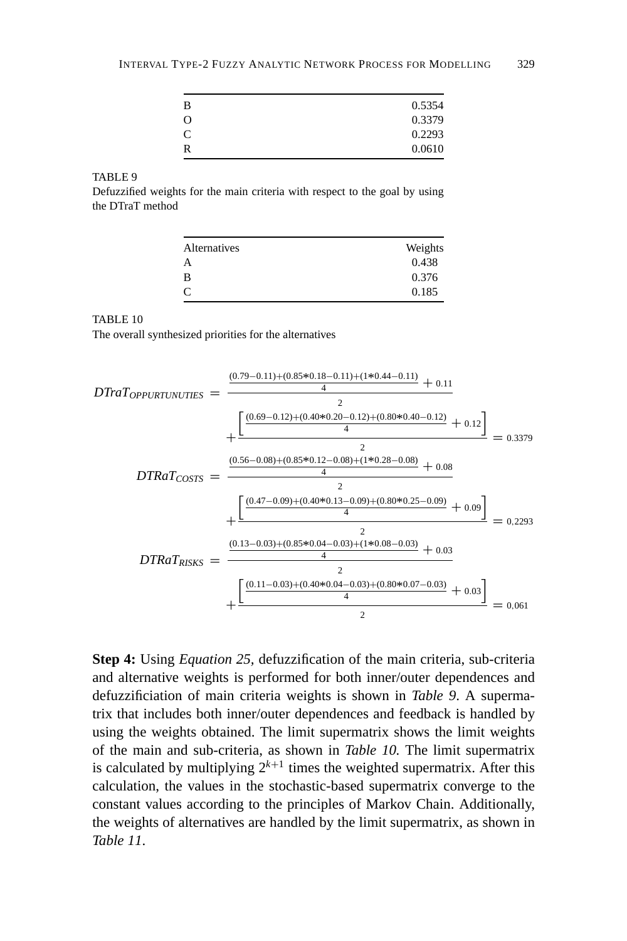| 0.5354 |
|--------|
| 0.3379 |
| 0.2293 |
| 0.0610 |
|        |

Defuzzified weights for the main criteria with respect to the goal by using the DTraT method

| Alternatives | Weights |
|--------------|---------|
| А            | 0.438   |
| в            | 0.376   |
|              | 0.185   |

#### TABLE 10

The overall synthesized priorities for the alternatives



**Step 4:** Using *Equation 25,* defuzzification of the main criteria, sub-criteria and alternative weights is performed for both inner/outer dependences and defuzzificiation of main criteria weights is shown in *Table 9*. A supermatrix that includes both inner/outer dependences and feedback is handled by using the weights obtained. The limit supermatrix shows the limit weights of the main and sub-criteria, as shown in *Table 10.* The limit supermatrix is calculated by multiplying  $2^{k+1}$  times the weighted supermatrix. After this calculation, the values in the stochastic-based supermatrix converge to the constant values according to the principles of Markov Chain. Additionally, the weights of alternatives are handled by the limit supermatrix, as shown in *Table 11*.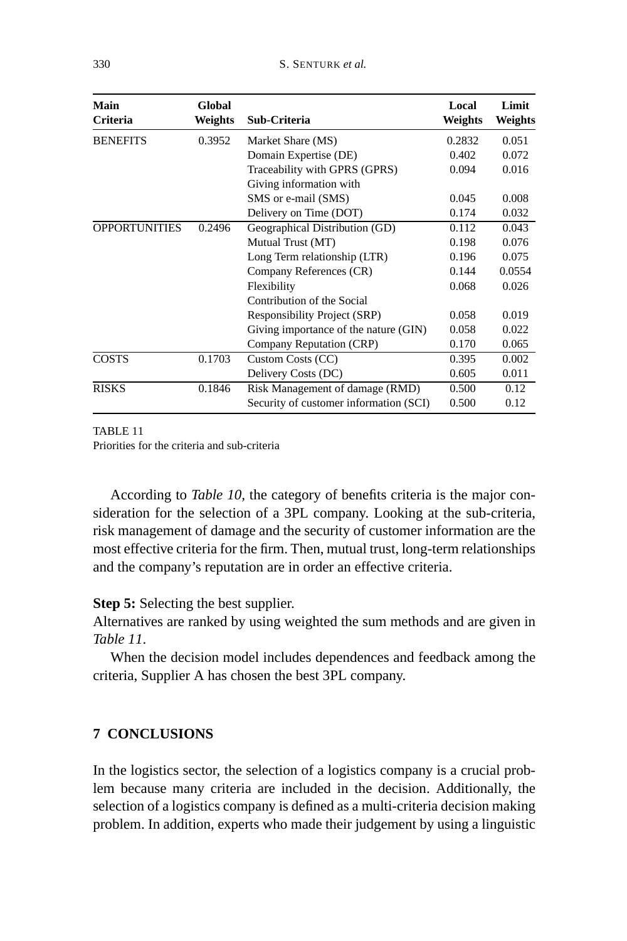| Main<br><b>Criteria</b> | Global<br>Weights | Sub-Criteria                           | Local<br>Weights | Limit<br>Weights |
|-------------------------|-------------------|----------------------------------------|------------------|------------------|
| <b>BENEFITS</b>         | 0.3952            | Market Share (MS)                      | 0.2832           | 0.051            |
|                         |                   | Domain Expertise (DE)                  | 0.402            | 0.072            |
|                         |                   | Traceability with GPRS (GPRS)          | 0.094            | 0.016            |
|                         |                   | Giving information with                |                  |                  |
|                         |                   | SMS or e-mail (SMS)                    | 0.045            | 0.008            |
|                         |                   | Delivery on Time (DOT)                 | 0.174            | 0.032            |
| <b>OPPORTUNITIES</b>    | 0.2496            | Geographical Distribution (GD)         | 0.112            | 0.043            |
|                         |                   | Mutual Trust (MT)                      | 0.198            | 0.076            |
|                         |                   | Long Term relationship (LTR)           | 0.196            | 0.075            |
|                         |                   | Company References (CR)                | 0.144            | 0.0554           |
|                         |                   | Flexibility                            | 0.068            | 0.026            |
|                         |                   | Contribution of the Social             |                  |                  |
|                         |                   | Responsibility Project (SRP)           | 0.058            | 0.019            |
|                         |                   | Giving importance of the nature (GIN)  | 0.058            | 0.022            |
|                         |                   | Company Reputation (CRP)               | 0.170            | 0.065            |
| <b>COSTS</b>            | 0.1703            | Custom Costs (CC)                      | 0.395            | 0.002            |
|                         |                   | Delivery Costs (DC)                    | 0.605            | 0.011            |
| <b>RISKS</b>            | 0.1846            | Risk Management of damage (RMD)        | 0.500            | 0.12             |
|                         |                   | Security of customer information (SCI) | 0.500            | 0.12             |

TABLE 11 Priorities for the criteria and sub-criteria

According to *Table 10,* the category of benefits criteria is the major consideration for the selection of a 3PL company. Looking at the sub-criteria, risk management of damage and the security of customer information are the most effective criteria for the firm. Then, mutual trust, long-term relationships and the company's reputation are in order an effective criteria.

# **Step 5:** Selecting the best supplier.

Alternatives are ranked by using weighted the sum methods and are given in *Table 11*.

When the decision model includes dependences and feedback among the criteria, Supplier A has chosen the best 3PL company.

# **7 CONCLUSIONS**

In the logistics sector, the selection of a logistics company is a crucial problem because many criteria are included in the decision. Additionally, the selection of a logistics company is defined as a multi-criteria decision making problem. In addition, experts who made their judgement by using a linguistic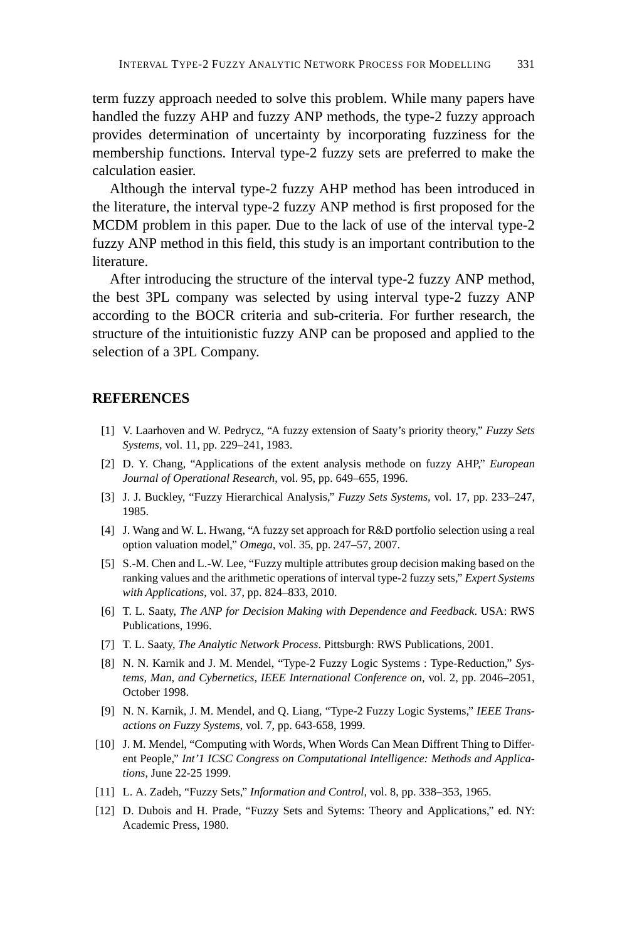term fuzzy approach needed to solve this problem. While many papers have handled the fuzzy AHP and fuzzy ANP methods, the type-2 fuzzy approach provides determination of uncertainty by incorporating fuzziness for the membership functions. Interval type-2 fuzzy sets are preferred to make the calculation easier.

Although the interval type-2 fuzzy AHP method has been introduced in the literature, the interval type-2 fuzzy ANP method is first proposed for the MCDM problem in this paper. Due to the lack of use of the interval type-2 fuzzy ANP method in this field, this study is an important contribution to the literature.

After introducing the structure of the interval type-2 fuzzy ANP method, the best 3PL company was selected by using interval type-2 fuzzy ANP according to the BOCR criteria and sub-criteria. For further research, the structure of the intuitionistic fuzzy ANP can be proposed and applied to the selection of a 3PL Company.

# **REFERENCES**

- [1] V. Laarhoven and W. Pedrycz, "A fuzzy extension of Saaty's priority theory," *Fuzzy Sets Systems*, vol. 11, pp. 229–241, 1983.
- [2] D. Y. Chang, "Applications of the extent analysis methode on fuzzy AHP," *European Journal of Operational Research*, vol. 95, pp. 649–655, 1996.
- [3] J. J. Buckley, "Fuzzy Hierarchical Analysis," *Fuzzy Sets Systems*, vol. 17, pp. 233–247, 1985.
- [4] J. Wang and W. L. Hwang, "A fuzzy set approach for R&D portfolio selection using a real option valuation model," *Omega*, vol. 35, pp. 247–57, 2007.
- [5] S.-M. Chen and L.-W. Lee, "Fuzzy multiple attributes group decision making based on the ranking values and the arithmetic operations of interval type-2 fuzzy sets," *Expert Systems with Applications*, vol. 37, pp. 824–833, 2010.
- [6] T. L. Saaty, *The ANP for Decision Making with Dependence and Feedback*. USA: RWS Publications, 1996.
- [7] T. L. Saaty, *The Analytic Network Process*. Pittsburgh: RWS Publications, 2001.
- [8] N. N. Karnik and J. M. Mendel, "Type-2 Fuzzy Logic Systems : Type-Reduction," *Systems, Man, and Cybernetics, IEEE International Conference on*, vol. 2, pp. 2046–2051, October 1998.
- [9] N. N. Karnik, J. M. Mendel, and Q. Liang, "Type-2 Fuzzy Logic Systems," *IEEE Transactions on Fuzzy Systems*, vol. 7, pp. 643-658, 1999.
- [10] J. M. Mendel, "Computing with Words, When Words Can Mean Diffrent Thing to Different People," *Int'1 ICSC Congress on Computational Intelligence: Methods and Applications*, June 22-25 1999.
- [11] L. A. Zadeh, "Fuzzy Sets," *Information and Control*, vol. 8, pp. 338–353, 1965.
- [12] D. Dubois and H. Prade, "Fuzzy Sets and Sytems: Theory and Applications," ed. NY: Academic Press, 1980.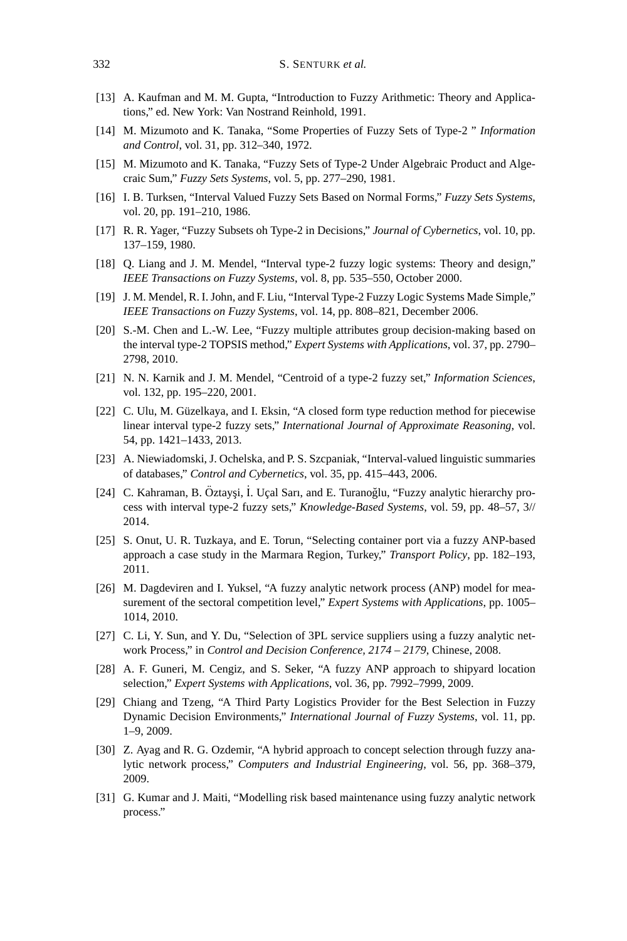- [13] A. Kaufman and M. M. Gupta, "Introduction to Fuzzy Arithmetic: Theory and Applications," ed. New York: Van Nostrand Reinhold, 1991.
- [14] M. Mizumoto and K. Tanaka, "Some Properties of Fuzzy Sets of Type-2 " *Information and Control*, vol. 31, pp. 312–340, 1972.
- [15] M. Mizumoto and K. Tanaka, "Fuzzy Sets of Type-2 Under Algebraic Product and Algecraic Sum," *Fuzzy Sets Systems*, vol. 5, pp. 277–290, 1981.
- [16] I. B. Turksen, "Interval Valued Fuzzy Sets Based on Normal Forms," *Fuzzy Sets Systems*, vol. 20, pp. 191–210, 1986.
- [17] R. R. Yager, "Fuzzy Subsets oh Type-2 in Decisions," *Journal of Cybernetics*, vol. 10, pp. 137–159, 1980.
- [18] Q. Liang and J. M. Mendel, "Interval type-2 fuzzy logic systems: Theory and design," *IEEE Transactions on Fuzzy Systems*, vol. 8, pp. 535–550, October 2000.
- [19] J. M. Mendel, R. I. John, and F. Liu, "Interval Type-2 Fuzzy Logic Systems Made Simple," *IEEE Transactions on Fuzzy Systems*, vol. 14, pp. 808–821, December 2006.
- [20] S.-M. Chen and L.-W. Lee, "Fuzzy multiple attributes group decision-making based on the interval type-2 TOPSIS method," *Expert Systems with Applications*, vol. 37, pp. 2790– 2798, 2010.
- [21] N. N. Karnik and J. M. Mendel, "Centroid of a type-2 fuzzy set," *Information Sciences*, vol. 132, pp. 195–220, 2001.
- [22] C. Ulu, M. Güzelkaya, and I. Eksin, "A closed form type reduction method for piecewise linear interval type-2 fuzzy sets," *International Journal of Approximate Reasoning*, vol. 54, pp. 1421–1433, 2013.
- [23] A. Niewiadomski, J. Ochelska, and P. S. Szcpaniak, "Interval-valued linguistic summaries of databases," *Control and Cybernetics*, vol. 35, pp. 415–443, 2006.
- [24] C. Kahraman, B. Öztayşi, İ. Uçal Sarı, and E. Turanoğlu, "Fuzzy analytic hierarchy process with interval type-2 fuzzy sets," *Knowledge-Based Systems*, vol. 59, pp. 48–57, 3// 2014.
- [25] S. Onut, U. R. Tuzkaya, and E. Torun, "Selecting container port via a fuzzy ANP-based approach a case study in the Marmara Region, Turkey," *Transport Policy*, pp. 182–193, 2011.
- [26] M. Dagdeviren and I. Yuksel, "A fuzzy analytic network process (ANP) model for measurement of the sectoral competition level," *Expert Systems with Applications*, pp. 1005– 1014, 2010.
- [27] C. Li, Y. Sun, and Y. Du, "Selection of 3PL service suppliers using a fuzzy analytic network Process," in *Control and Decision Conference, 2174 – 2179*, Chinese, 2008.
- [28] A. F. Guneri, M. Cengiz, and S. Seker, "A fuzzy ANP approach to shipyard location selection," *Expert Systems with Applications*, vol. 36, pp. 7992–7999, 2009.
- [29] Chiang and Tzeng, "A Third Party Logistics Provider for the Best Selection in Fuzzy Dynamic Decision Environments," *International Journal of Fuzzy Systems*, vol. 11, pp. 1–9, 2009.
- [30] Z. Ayag and R. G. Ozdemir, "A hybrid approach to concept selection through fuzzy analytic network process," *Computers and Industrial Engineering*, vol. 56, pp. 368–379, 2009.
- [31] G. Kumar and J. Maiti, "Modelling risk based maintenance using fuzzy analytic network process."